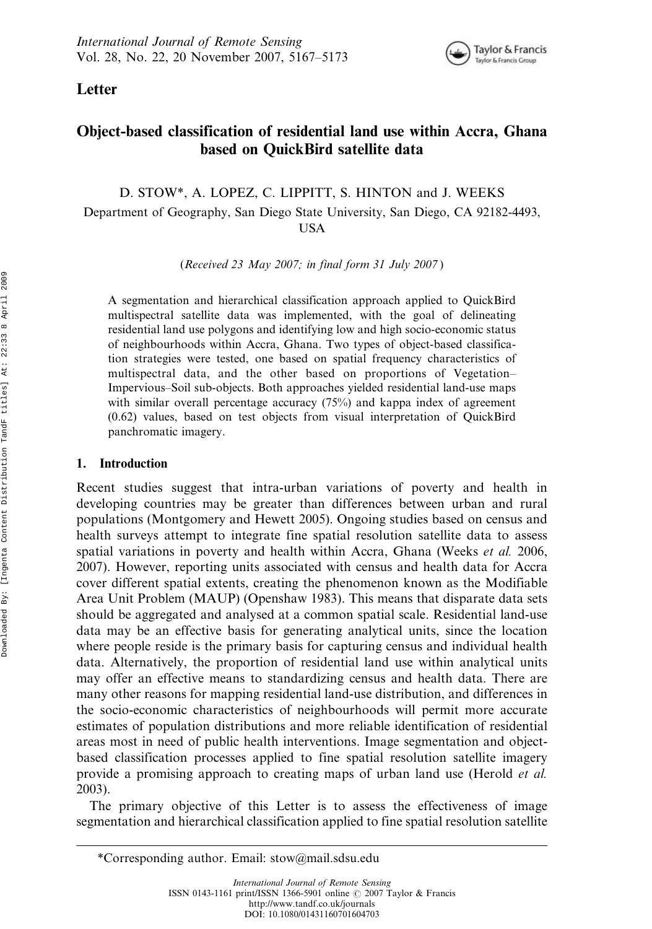

Letter

# Object-based classification of residential land use within Accra, Ghana based on QuickBird satellite data

D. STOW\*, A. LOPEZ, C. LIPPITT, S. HINTON and J. WEEKS

Department of Geography, San Diego State University, San Diego, CA 92182-4493, USA

(Received 23 May 2007; in final form 31 July 2007 )

A segmentation and hierarchical classification approach applied to QuickBird multispectral satellite data was implemented, with the goal of delineating residential land use polygons and identifying low and high socio-economic status of neighbourhoods within Accra, Ghana. Two types of object-based classification strategies were tested, one based on spatial frequency characteristics of multispectral data, and the other based on proportions of Vegetation– Impervious–Soil sub-objects. Both approaches yielded residential land-use maps with similar overall percentage accuracy (75%) and kappa index of agreement (0.62) values, based on test objects from visual interpretation of QuickBird panchromatic imagery.

## 1. Introduction

Recent studies suggest that intra-urban variations of poverty and health in developing countries may be greater than differences between urban and rural populations (Montgomery and Hewett 2005). Ongoing studies based on census and health surveys attempt to integrate fine spatial resolution satellite data to assess spatial variations in poverty and health within Accra, Ghana (Weeks *et al.* 2006, 2007). However, reporting units associated with census and health data for Accra cover different spatial extents, creating the phenomenon known as the Modifiable Area Unit Problem (MAUP) (Openshaw 1983). This means that disparate data sets should be aggregated and analysed at a common spatial scale. Residential land-use data may be an effective basis for generating analytical units, since the location where people reside is the primary basis for capturing census and individual health data. Alternatively, the proportion of residential land use within analytical units may offer an effective means to standardizing census and health data. There are many other reasons for mapping residential land-use distribution, and differences in the socio-economic characteristics of neighbourhoods will permit more accurate estimates of population distributions and more reliable identification of residential areas most in need of public health interventions. Image segmentation and objectbased classification processes applied to fine spatial resolution satellite imagery provide a promising approach to creating maps of urban land use (Herold *et al.*) 2003).

The primary objective of this Letter is to assess the effectiveness of image segmentation and hierarchical classification applied to fine spatial resolution satellite

<sup>\*</sup>Corresponding author. Email: stow@mail.sdsu.edu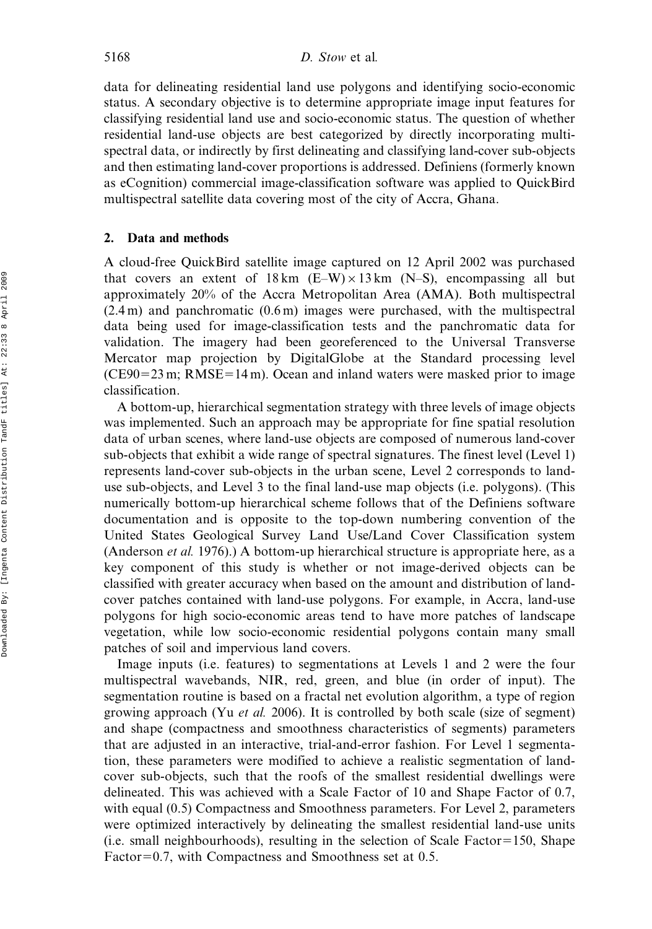data for delineating residential land use polygons and identifying socio-economic status. A secondary objective is to determine appropriate image input features for classifying residential land use and socio-economic status. The question of whether residential land-use objects are best categorized by directly incorporating multispectral data, or indirectly by first delineating and classifying land-cover sub-objects and then estimating land-cover proportions is addressed. Definiens (formerly known as eCognition) commercial image-classification software was applied to QuickBird multispectral satellite data covering most of the city of Accra, Ghana.

#### 2. Data and methods

A cloud-free QuickBird satellite image captured on 12 April 2002 was purchased that covers an extent of  $18 \text{ km}$  (E–W)  $\times$  13 km (N–S), encompassing all but approximately 20% of the Accra Metropolitan Area (AMA). Both multispectral (2.4 m) and panchromatic (0.6 m) images were purchased, with the multispectral data being used for image-classification tests and the panchromatic data for validation. The imagery had been georeferenced to the Universal Transverse Mercator map projection by DigitalGlobe at the Standard processing level  $(CE90=23 \text{ m}; RMSE=14 \text{ m})$ . Ocean and inland waters were masked prior to image classification.

A bottom-up, hierarchical segmentation strategy with three levels of image objects was implemented. Such an approach may be appropriate for fine spatial resolution data of urban scenes, where land-use objects are composed of numerous land-cover sub-objects that exhibit a wide range of spectral signatures. The finest level (Level 1) represents land-cover sub-objects in the urban scene, Level 2 corresponds to landuse sub-objects, and Level 3 to the final land-use map objects (i.e. polygons). (This numerically bottom-up hierarchical scheme follows that of the Definiens software documentation and is opposite to the top-down numbering convention of the United States Geological Survey Land Use/Land Cover Classification system (Anderson et al. 1976).) A bottom-up hierarchical structure is appropriate here, as a key component of this study is whether or not image-derived objects can be classified with greater accuracy when based on the amount and distribution of landcover patches contained with land-use polygons. For example, in Accra, land-use polygons for high socio-economic areas tend to have more patches of landscape vegetation, while low socio-economic residential polygons contain many small patches of soil and impervious land covers.

Image inputs (i.e. features) to segmentations at Levels 1 and 2 were the four multispectral wavebands, NIR, red, green, and blue (in order of input). The segmentation routine is based on a fractal net evolution algorithm, a type of region growing approach (Yu *et al.* 2006). It is controlled by both scale (size of segment) and shape (compactness and smoothness characteristics of segments) parameters that are adjusted in an interactive, trial-and-error fashion. For Level 1 segmentation, these parameters were modified to achieve a realistic segmentation of landcover sub-objects, such that the roofs of the smallest residential dwellings were delineated. This was achieved with a Scale Factor of 10 and Shape Factor of 0.7, with equal  $(0.5)$  Compactness and Smoothness parameters. For Level 2, parameters were optimized interactively by delineating the smallest residential land-use units (i.e. small neighbourhoods), resulting in the selection of Scale Factor 5150, Shape Factor=0.7, with Compactness and Smoothness set at 0.5.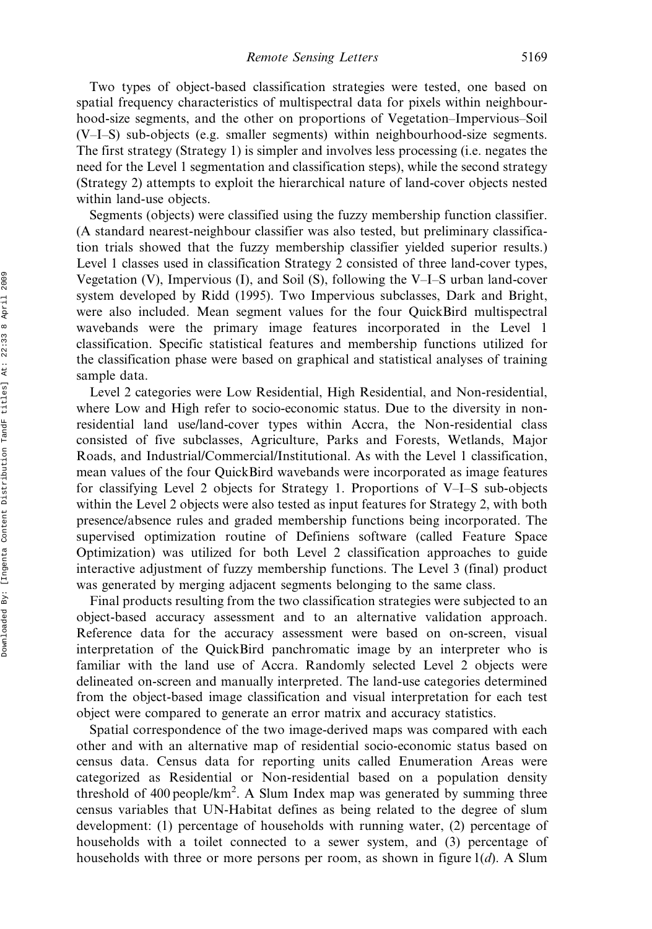Two types of object-based classification strategies were tested, one based on spatial frequency characteristics of multispectral data for pixels within neighbourhood-size segments, and the other on proportions of Vegetation–Impervious–Soil (V–I–S) sub-objects (e.g. smaller segments) within neighbourhood-size segments. The first strategy (Strategy 1) is simpler and involves less processing (i.e. negates the need for the Level 1 segmentation and classification steps), while the second strategy (Strategy 2) attempts to exploit the hierarchical nature of land-cover objects nested within land-use objects.

Segments (objects) were classified using the fuzzy membership function classifier. (A standard nearest-neighbour classifier was also tested, but preliminary classification trials showed that the fuzzy membership classifier yielded superior results.) Level 1 classes used in classification Strategy 2 consisted of three land-cover types, Vegetation (V), Impervious (I), and Soil (S), following the V–I–S urban land-cover system developed by Ridd (1995). Two Impervious subclasses, Dark and Bright, were also included. Mean segment values for the four QuickBird multispectral wavebands were the primary image features incorporated in the Level 1 classification. Specific statistical features and membership functions utilized for the classification phase were based on graphical and statistical analyses of training sample data.

Level 2 categories were Low Residential, High Residential, and Non-residential, where Low and High refer to socio-economic status. Due to the diversity in nonresidential land use/land-cover types within Accra, the Non-residential class consisted of five subclasses, Agriculture, Parks and Forests, Wetlands, Major Roads, and Industrial/Commercial/Institutional. As with the Level 1 classification, mean values of the four QuickBird wavebands were incorporated as image features for classifying Level 2 objects for Strategy 1. Proportions of V–I–S sub-objects within the Level 2 objects were also tested as input features for Strategy 2, with both presence/absence rules and graded membership functions being incorporated. The supervised optimization routine of Definiens software (called Feature Space Optimization) was utilized for both Level 2 classification approaches to guide interactive adjustment of fuzzy membership functions. The Level 3 (final) product was generated by merging adjacent segments belonging to the same class.

Final products resulting from the two classification strategies were subjected to an object-based accuracy assessment and to an alternative validation approach. Reference data for the accuracy assessment were based on on-screen, visual interpretation of the QuickBird panchromatic image by an interpreter who is familiar with the land use of Accra. Randomly selected Level 2 objects were delineated on-screen and manually interpreted. The land-use categories determined from the object-based image classification and visual interpretation for each test object were compared to generate an error matrix and accuracy statistics.

Spatial correspondence of the two image-derived maps was compared with each other and with an alternative map of residential socio-economic status based on census data. Census data for reporting units called Enumeration Areas were categorized as Residential or Non-residential based on a population density threshold of 400 people/km<sup>2</sup>. A Slum Index map was generated by summing three census variables that UN-Habitat defines as being related to the degree of slum development: (1) percentage of households with running water, (2) percentage of households with a toilet connected to a sewer system, and (3) percentage of households with three or more persons per room, as shown in figure  $1(d)$ . A Slum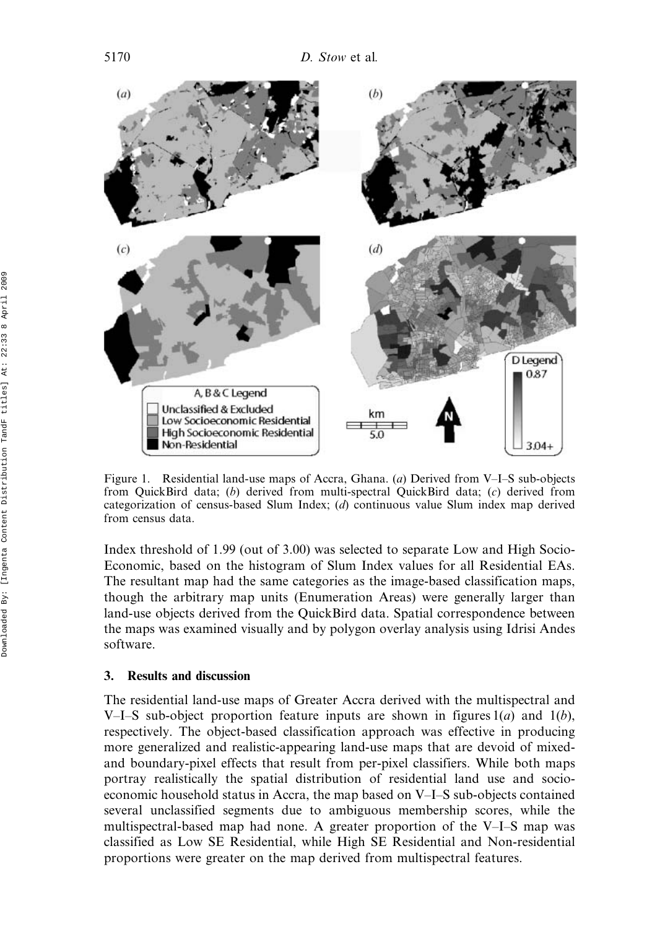

Figure 1. Residential land-use maps of Accra, Ghana. (a) Derived from V–I–S sub-objects from QuickBird data; (b) derived from multi-spectral QuickBird data; (c) derived from categorization of census-based Slum Index; (d) continuous value Slum index map derived from census data.

Index threshold of 1.99 (out of 3.00) was selected to separate Low and High Socio-Economic, based on the histogram of Slum Index values for all Residential EAs. The resultant map had the same categories as the image-based classification maps, though the arbitrary map units (Enumeration Areas) were generally larger than land-use objects derived from the QuickBird data. Spatial correspondence between the maps was examined visually and by polygon overlay analysis using Idrisi Andes software.

## 3. Results and discussion

The residential land-use maps of Greater Accra derived with the multispectral and V–I–S sub-object proportion feature inputs are shown in figures  $1(a)$  and  $1(b)$ , respectively. The object-based classification approach was effective in producing more generalized and realistic-appearing land-use maps that are devoid of mixedand boundary-pixel effects that result from per-pixel classifiers. While both maps portray realistically the spatial distribution of residential land use and socioeconomic household status in Accra, the map based on V–I–S sub-objects contained several unclassified segments due to ambiguous membership scores, while the multispectral-based map had none. A greater proportion of the V–I–S map was classified as Low SE Residential, while High SE Residential and Non-residential proportions were greater on the map derived from multispectral features.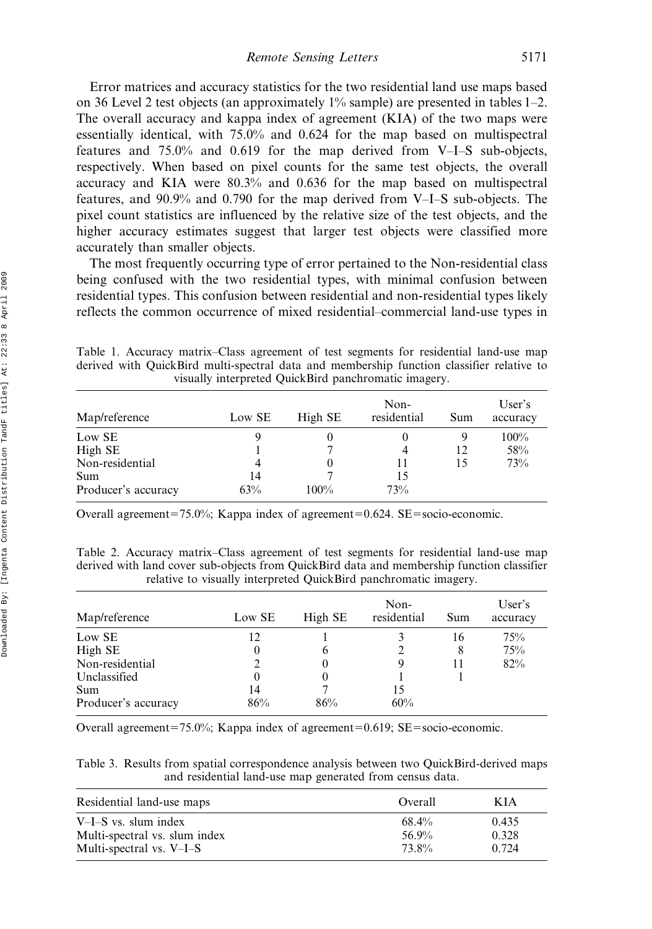Remote Sensing Letters 5171

Error matrices and accuracy statistics for the two residential land use maps based on 36 Level 2 test objects (an approximately 1% sample) are presented in tables 1–2. The overall accuracy and kappa index of agreement (KIA) of the two maps were essentially identical, with 75.0% and 0.624 for the map based on multispectral features and 75.0% and 0.619 for the map derived from V–I–S sub-objects, respectively. When based on pixel counts for the same test objects, the overall accuracy and KIA were 80.3% and 0.636 for the map based on multispectral features, and 90.9% and 0.790 for the map derived from V–I–S sub-objects. The pixel count statistics are influenced by the relative size of the test objects, and the higher accuracy estimates suggest that larger test objects were classified more accurately than smaller objects.

The most frequently occurring type of error pertained to the Non-residential class being confused with the two residential types, with minimal confusion between residential types. This confusion between residential and non-residential types likely reflects the common occurrence of mixed residential–commercial land-use types in

Table 1. Accuracy matrix–Class agreement of test segments for residential land-use map derived with QuickBird multi-spectral data and membership function classifier relative to visually interpreted QuickBird panchromatic imagery.

| Map/reference       | Low SE | High SE | Non-<br>residential | Sum | User's<br>accuracy |
|---------------------|--------|---------|---------------------|-----|--------------------|
| Low SE              |        |         |                     | 9   | 100%               |
| High SE             |        |         | 4                   | 12  | 58%                |
| Non-residential     |        |         |                     | 15  | 73%                |
| Sum                 | 14     |         | 15                  |     |                    |
| Producer's accuracy | 63%    | $100\%$ | 73%                 |     |                    |

Overall agreement=75.0%; Kappa index of agreement=0.624. SE=socio-economic.

Table 2. Accuracy matrix–Class agreement of test segments for residential land-use map derived with land cover sub-objects from QuickBird data and membership function classifier relative to visually interpreted QuickBird panchromatic imagery.

| Map/reference       | Low SE | High SE      | Non-<br>residential | Sum | User's<br>accuracy |
|---------------------|--------|--------------|---------------------|-----|--------------------|
| Low SE              | 12     |              |                     | 16  | 75%                |
| High SE             | 0      | <sub>(</sub> |                     | 8   | 75%                |
| Non-residential     |        |              |                     |     | 82%                |
| Unclassified        | 0      |              |                     |     |                    |
| Sum                 | 14     |              | 15                  |     |                    |
| Producer's accuracy | 86%    | 86%          | 60%                 |     |                    |

Overall agreement=75.0%; Kappa index of agreement=0.619; SE=socio-economic.

Table 3. Results from spatial correspondence analysis between two QuickBird-derived maps and residential land-use map generated from census data.

| Residential land-use maps     | Overall | K J A |
|-------------------------------|---------|-------|
| V-I-S vs. slum index          | 68.4%   | 0.435 |
| Multi-spectral vs. slum index | 56.9%   | 0.328 |
| Multi-spectral vs. $V-I-S$    | 73.8%   | 0.724 |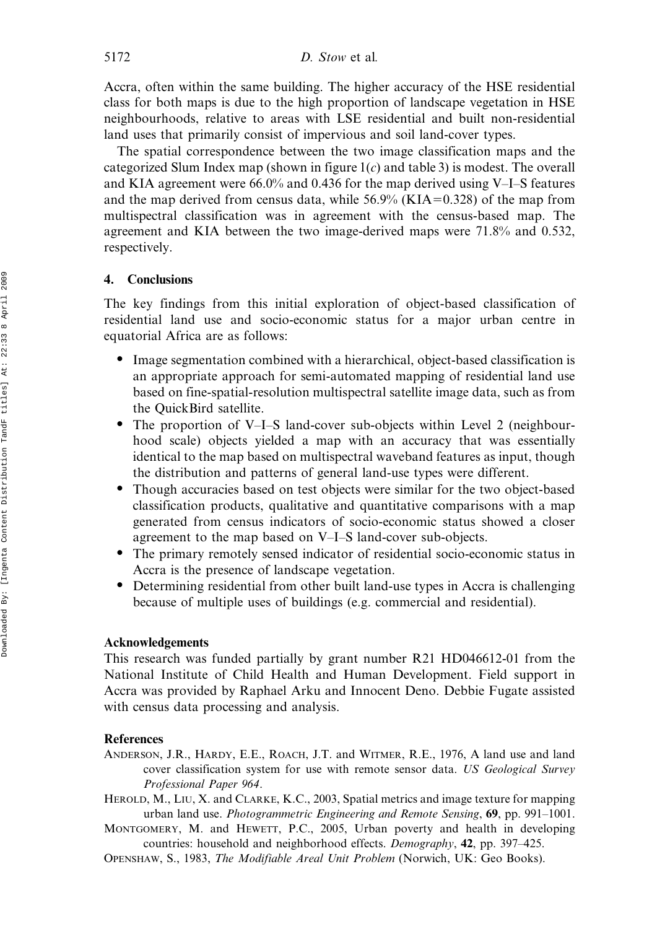Accra, often within the same building. The higher accuracy of the HSE residential class for both maps is due to the high proportion of landscape vegetation in HSE neighbourhoods, relative to areas with LSE residential and built non-residential land uses that primarily consist of impervious and soil land-cover types.

The spatial correspondence between the two image classification maps and the categorized Slum Index map (shown in figure  $1(c)$  and table 3) is modest. The overall and KIA agreement were 66.0% and 0.436 for the map derived using V–I–S features and the map derived from census data, while  $56.9\%$  (KIA=0.328) of the map from multispectral classification was in agreement with the census-based map. The agreement and KIA between the two image-derived maps were 71.8% and 0.532, respectively.

### 4. Conclusions

The key findings from this initial exploration of object-based classification of residential land use and socio-economic status for a major urban centre in equatorial Africa are as follows:

- Image segmentation combined with a hierarchical, object-based classification is an appropriate approach for semi-automated mapping of residential land use based on fine-spatial-resolution multispectral satellite image data, such as from the QuickBird satellite.
- The proportion of V–I–S land-cover sub-objects within Level 2 (neighbourhood scale) objects yielded a map with an accuracy that was essentially identical to the map based on multispectral waveband features as input, though the distribution and patterns of general land-use types were different.
- Though accuracies based on test objects were similar for the two object-based classification products, qualitative and quantitative comparisons with a map generated from census indicators of socio-economic status showed a closer agreement to the map based on V–I–S land-cover sub-objects.
- The primary remotely sensed indicator of residential socio-economic status in Accra is the presence of landscape vegetation.
- Determining residential from other built land-use types in Accra is challenging because of multiple uses of buildings (e.g. commercial and residential).

#### Acknowledgements

This research was funded partially by grant number R21 HD046612-01 from the National Institute of Child Health and Human Development. Field support in Accra was provided by Raphael Arku and Innocent Deno. Debbie Fugate assisted with census data processing and analysis.

#### References

- ANDERSON, J.R., HARDY, E.E., ROACH, J.T. and WITMER, R.E., 1976, A land use and land cover classification system for use with remote sensor data. US Geological Survey Professional Paper 964.
- HEROLD, M., LIU, X. and CLARKE, K.C., 2003, Spatial metrics and image texture for mapping urban land use. Photogrammetric Engineering and Remote Sensing, 69, pp. 991-1001.
- MONTGOMERY, M. and HEWETT, P.C., 2005, Urban poverty and health in developing countries: household and neighborhood effects. Demography, 42, pp. 397–425.

OPENSHAW, S., 1983, The Modifiable Areal Unit Problem (Norwich, UK: Geo Books).